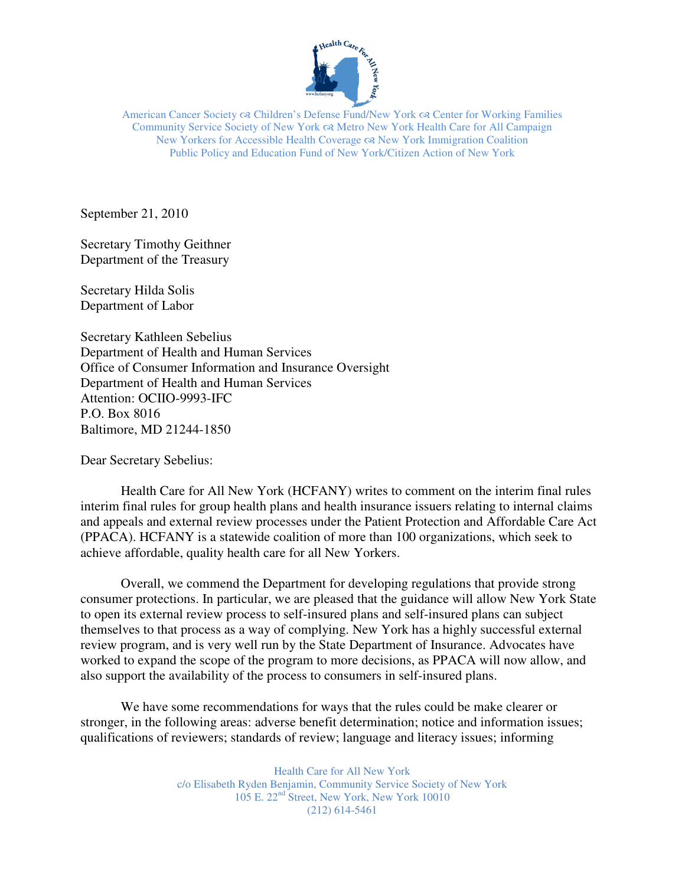

American Cancer Society  $\infty$  Children's Defense Fund/New York  $\infty$  Center for Working Families Community Service Society of New York Metro New York Health Care for All Campaign New Yorkers for Accessible Health Coverage  $\infty$  New York Immigration Coalition Public Policy and Education Fund of New York/Citizen Action of New York

September 21, 2010

Secretary Timothy Geithner Department of the Treasury

Secretary Hilda Solis Department of Labor

Secretary Kathleen Sebelius Department of Health and Human Services Office of Consumer Information and Insurance Oversight Department of Health and Human Services Attention: OCIIO-9993-IFC P.O. Box 8016 Baltimore, MD 21244-1850

Dear Secretary Sebelius:

Health Care for All New York (HCFANY) writes to comment on the interim final rules interim final rules for group health plans and health insurance issuers relating to internal claims and appeals and external review processes under the Patient Protection and Affordable Care Act (PPACA). HCFANY is a statewide coalition of more than 100 organizations, which seek to achieve affordable, quality health care for all New Yorkers.

Overall, we commend the Department for developing regulations that provide strong consumer protections. In particular, we are pleased that the guidance will allow New York State to open its external review process to self-insured plans and self-insured plans can subject themselves to that process as a way of complying. New York has a highly successful external review program, and is very well run by the State Department of Insurance. Advocates have worked to expand the scope of the program to more decisions, as PPACA will now allow, and also support the availability of the process to consumers in self-insured plans.

We have some recommendations for ways that the rules could be make clearer or stronger, in the following areas: adverse benefit determination; notice and information issues; qualifications of reviewers; standards of review; language and literacy issues; informing

> Health Care for All New York c/o Elisabeth Ryden Benjamin, Community Service Society of New York 105 E. 22nd Street, New York, New York 10010 (212) 614-5461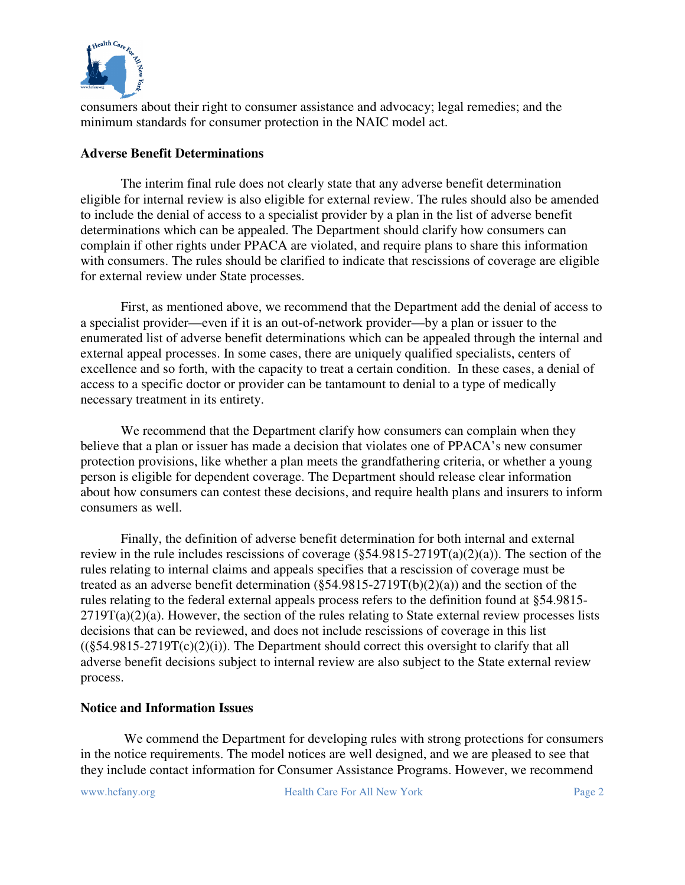

consumers about their right to consumer assistance and advocacy; legal remedies; and the minimum standards for consumer protection in the NAIC model act.

## **Adverse Benefit Determinations**

The interim final rule does not clearly state that any adverse benefit determination eligible for internal review is also eligible for external review. The rules should also be amended to include the denial of access to a specialist provider by a plan in the list of adverse benefit determinations which can be appealed. The Department should clarify how consumers can complain if other rights under PPACA are violated, and require plans to share this information with consumers. The rules should be clarified to indicate that rescissions of coverage are eligible for external review under State processes.

First, as mentioned above, we recommend that the Department add the denial of access to a specialist provider—even if it is an out-of-network provider—by a plan or issuer to the enumerated list of adverse benefit determinations which can be appealed through the internal and external appeal processes. In some cases, there are uniquely qualified specialists, centers of excellence and so forth, with the capacity to treat a certain condition. In these cases, a denial of access to a specific doctor or provider can be tantamount to denial to a type of medically necessary treatment in its entirety.

We recommend that the Department clarify how consumers can complain when they believe that a plan or issuer has made a decision that violates one of PPACA's new consumer protection provisions, like whether a plan meets the grandfathering criteria, or whether a young person is eligible for dependent coverage. The Department should release clear information about how consumers can contest these decisions, and require health plans and insurers to inform consumers as well.

Finally, the definition of adverse benefit determination for both internal and external review in the rule includes rescissions of coverage  $(\S 54.9815 - 2719T(a)(2)(a))$ . The section of the rules relating to internal claims and appeals specifies that a rescission of coverage must be treated as an adverse benefit determination (§54.9815-2719T(b)(2)(a)) and the section of the rules relating to the federal external appeals process refers to the definition found at §54.9815-  $2719T(a)(2)(a)$ . However, the section of the rules relating to State external review processes lists decisions that can be reviewed, and does not include rescissions of coverage in this list  $((§54.9815-2719T(c)(2)(i))$ . The Department should correct this oversight to clarify that all adverse benefit decisions subject to internal review are also subject to the State external review process.

# **Notice and Information Issues**

 We commend the Department for developing rules with strong protections for consumers in the notice requirements. The model notices are well designed, and we are pleased to see that they include contact information for Consumer Assistance Programs. However, we recommend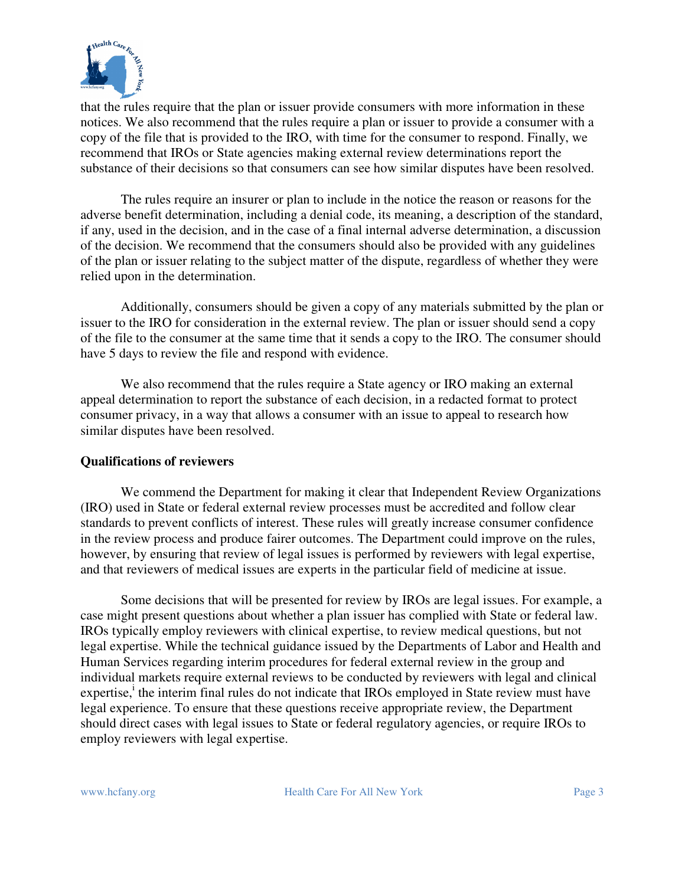

that the rules require that the plan or issuer provide consumers with more information in these notices. We also recommend that the rules require a plan or issuer to provide a consumer with a copy of the file that is provided to the IRO, with time for the consumer to respond. Finally, we recommend that IROs or State agencies making external review determinations report the substance of their decisions so that consumers can see how similar disputes have been resolved.

 The rules require an insurer or plan to include in the notice the reason or reasons for the adverse benefit determination, including a denial code, its meaning, a description of the standard, if any, used in the decision, and in the case of a final internal adverse determination, a discussion of the decision. We recommend that the consumers should also be provided with any guidelines of the plan or issuer relating to the subject matter of the dispute, regardless of whether they were relied upon in the determination.

Additionally, consumers should be given a copy of any materials submitted by the plan or issuer to the IRO for consideration in the external review. The plan or issuer should send a copy of the file to the consumer at the same time that it sends a copy to the IRO. The consumer should have 5 days to review the file and respond with evidence.

We also recommend that the rules require a State agency or IRO making an external appeal determination to report the substance of each decision, in a redacted format to protect consumer privacy, in a way that allows a consumer with an issue to appeal to research how similar disputes have been resolved.

## **Qualifications of reviewers**

 We commend the Department for making it clear that Independent Review Organizations (IRO) used in State or federal external review processes must be accredited and follow clear standards to prevent conflicts of interest. These rules will greatly increase consumer confidence in the review process and produce fairer outcomes. The Department could improve on the rules, however, by ensuring that review of legal issues is performed by reviewers with legal expertise, and that reviewers of medical issues are experts in the particular field of medicine at issue.

 Some decisions that will be presented for review by IROs are legal issues. For example, a case might present questions about whether a plan issuer has complied with State or federal law. IROs typically employ reviewers with clinical expertise, to review medical questions, but not legal expertise. While the technical guidance issued by the Departments of Labor and Health and Human Services regarding interim procedures for federal external review in the group and individual markets require external reviews to be conducted by reviewers with legal and clinical expertise,<sup>i</sup> the interim final rules do not indicate that IROs employed in State review must have legal experience. To ensure that these questions receive appropriate review, the Department should direct cases with legal issues to State or federal regulatory agencies, or require IROs to employ reviewers with legal expertise.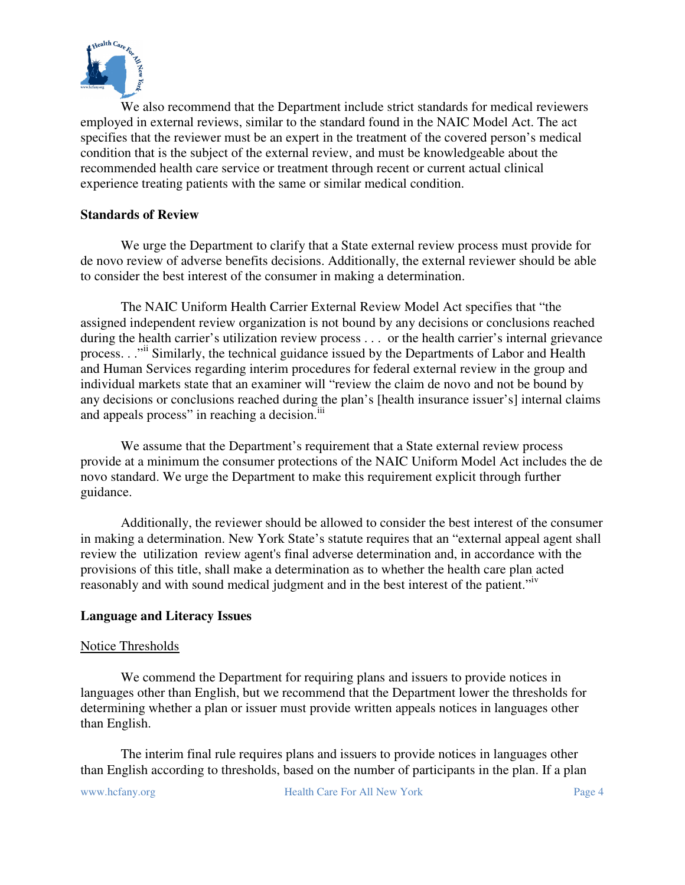

 We also recommend that the Department include strict standards for medical reviewers employed in external reviews, similar to the standard found in the NAIC Model Act. The act specifies that the reviewer must be an expert in the treatment of the covered person's medical condition that is the subject of the external review, and must be knowledgeable about the recommended health care service or treatment through recent or current actual clinical experience treating patients with the same or similar medical condition.

# **Standards of Review**

We urge the Department to clarify that a State external review process must provide for de novo review of adverse benefits decisions. Additionally, the external reviewer should be able to consider the best interest of the consumer in making a determination.

The NAIC Uniform Health Carrier External Review Model Act specifies that "the assigned independent review organization is not bound by any decisions or conclusions reached during the health carrier's utilization review process . . . or the health carrier's internal grievance process. . ."ii Similarly, the technical guidance issued by the Departments of Labor and Health and Human Services regarding interim procedures for federal external review in the group and individual markets state that an examiner will "review the claim de novo and not be bound by any decisions or conclusions reached during the plan's [health insurance issuer's] internal claims and appeals process" in reaching a decision.<sup>iii</sup>

 We assume that the Department's requirement that a State external review process provide at a minimum the consumer protections of the NAIC Uniform Model Act includes the de novo standard. We urge the Department to make this requirement explicit through further guidance.

 Additionally, the reviewer should be allowed to consider the best interest of the consumer in making a determination. New York State's statute requires that an "external appeal agent shall review the utilization review agent's final adverse determination and, in accordance with the provisions of this title, shall make a determination as to whether the health care plan acted reasonably and with sound medical judgment and in the best interest of the patient."<sup>iv</sup>

## **Language and Literacy Issues**

## Notice Thresholds

 We commend the Department for requiring plans and issuers to provide notices in languages other than English, but we recommend that the Department lower the thresholds for determining whether a plan or issuer must provide written appeals notices in languages other than English.

The interim final rule requires plans and issuers to provide notices in languages other than English according to thresholds, based on the number of participants in the plan. If a plan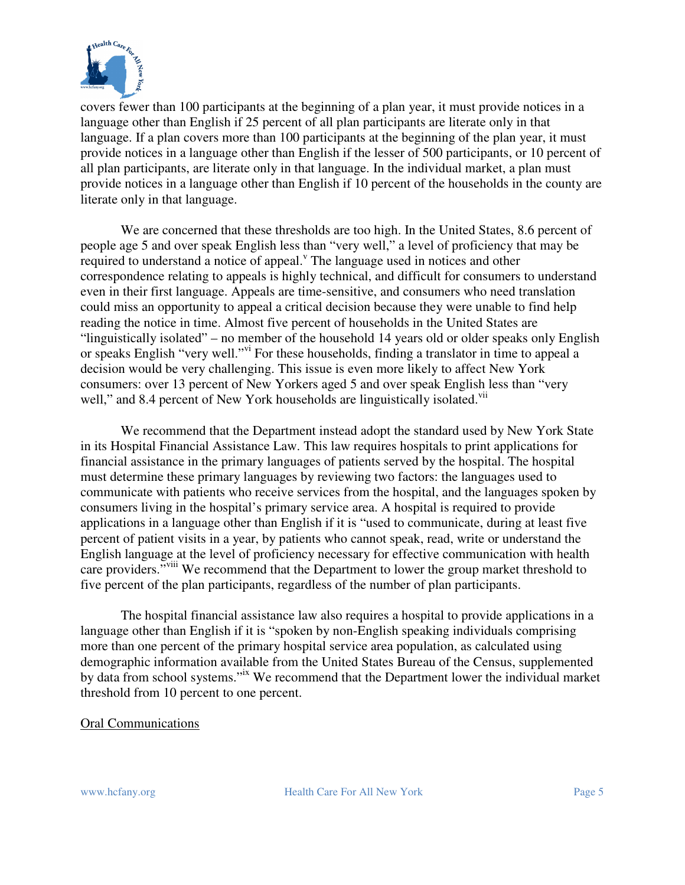

covers fewer than 100 participants at the beginning of a plan year, it must provide notices in a language other than English if 25 percent of all plan participants are literate only in that language. If a plan covers more than 100 participants at the beginning of the plan year, it must provide notices in a language other than English if the lesser of 500 participants, or 10 percent of all plan participants, are literate only in that language. In the individual market, a plan must provide notices in a language other than English if 10 percent of the households in the county are literate only in that language.

We are concerned that these thresholds are too high. In the United States, 8.6 percent of people age 5 and over speak English less than "very well," a level of proficiency that may be required to understand a notice of appeal.<sup>V</sup> The language used in notices and other correspondence relating to appeals is highly technical, and difficult for consumers to understand even in their first language. Appeals are time-sensitive, and consumers who need translation could miss an opportunity to appeal a critical decision because they were unable to find help reading the notice in time. Almost five percent of households in the United States are "linguistically isolated" – no member of the household 14 years old or older speaks only English or speaks English "very well."vi For these households, finding a translator in time to appeal a decision would be very challenging. This issue is even more likely to affect New York consumers: over 13 percent of New Yorkers aged 5 and over speak English less than "very well," and 8.4 percent of New York households are linguistically isolated.<sup>vii</sup>

We recommend that the Department instead adopt the standard used by New York State in its Hospital Financial Assistance Law. This law requires hospitals to print applications for financial assistance in the primary languages of patients served by the hospital. The hospital must determine these primary languages by reviewing two factors: the languages used to communicate with patients who receive services from the hospital, and the languages spoken by consumers living in the hospital's primary service area. A hospital is required to provide applications in a language other than English if it is "used to communicate, during at least five percent of patient visits in a year, by patients who cannot speak, read, write or understand the English language at the level of proficiency necessary for effective communication with health care providers."<sup>viii</sup> We recommend that the Department to lower the group market threshold to five percent of the plan participants, regardless of the number of plan participants.

The hospital financial assistance law also requires a hospital to provide applications in a language other than English if it is "spoken by non-English speaking individuals comprising more than one percent of the primary hospital service area population, as calculated using demographic information available from the United States Bureau of the Census, supplemented by data from school systems."ix We recommend that the Department lower the individual market threshold from 10 percent to one percent.

#### Oral Communications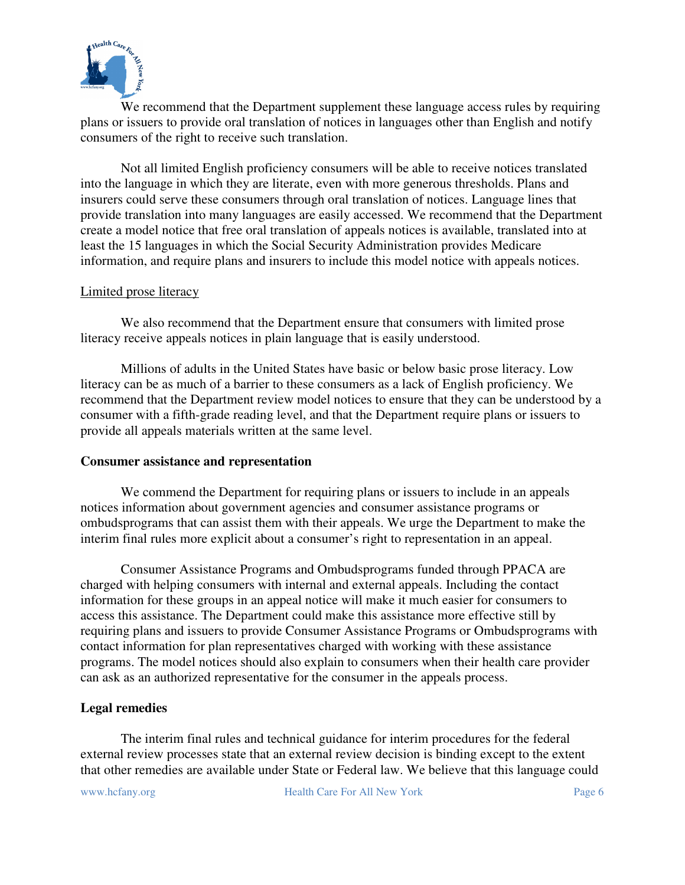

 We recommend that the Department supplement these language access rules by requiring plans or issuers to provide oral translation of notices in languages other than English and notify consumers of the right to receive such translation.

Not all limited English proficiency consumers will be able to receive notices translated into the language in which they are literate, even with more generous thresholds. Plans and insurers could serve these consumers through oral translation of notices. Language lines that provide translation into many languages are easily accessed. We recommend that the Department create a model notice that free oral translation of appeals notices is available, translated into at least the 15 languages in which the Social Security Administration provides Medicare information, and require plans and insurers to include this model notice with appeals notices.

### Limited prose literacy

We also recommend that the Department ensure that consumers with limited prose literacy receive appeals notices in plain language that is easily understood.

Millions of adults in the United States have basic or below basic prose literacy. Low literacy can be as much of a barrier to these consumers as a lack of English proficiency. We recommend that the Department review model notices to ensure that they can be understood by a consumer with a fifth-grade reading level, and that the Department require plans or issuers to provide all appeals materials written at the same level.

#### **Consumer assistance and representation**

 We commend the Department for requiring plans or issuers to include in an appeals notices information about government agencies and consumer assistance programs or ombudsprograms that can assist them with their appeals. We urge the Department to make the interim final rules more explicit about a consumer's right to representation in an appeal.

 Consumer Assistance Programs and Ombudsprograms funded through PPACA are charged with helping consumers with internal and external appeals. Including the contact information for these groups in an appeal notice will make it much easier for consumers to access this assistance. The Department could make this assistance more effective still by requiring plans and issuers to provide Consumer Assistance Programs or Ombudsprograms with contact information for plan representatives charged with working with these assistance programs. The model notices should also explain to consumers when their health care provider can ask as an authorized representative for the consumer in the appeals process.

#### **Legal remedies**

 The interim final rules and technical guidance for interim procedures for the federal external review processes state that an external review decision is binding except to the extent that other remedies are available under State or Federal law. We believe that this language could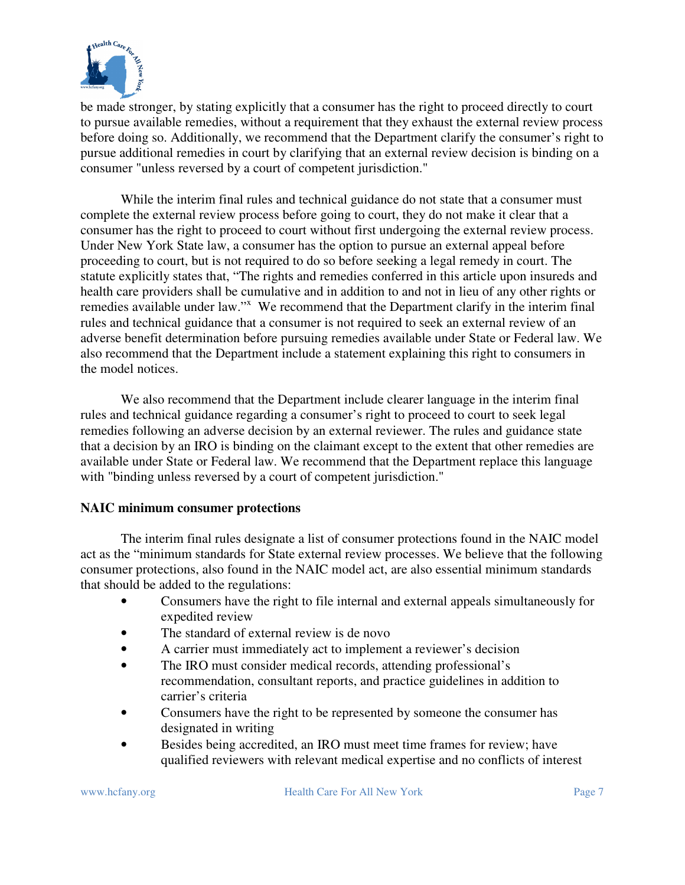

be made stronger, by stating explicitly that a consumer has the right to proceed directly to court to pursue available remedies, without a requirement that they exhaust the external review process before doing so. Additionally, we recommend that the Department clarify the consumer's right to pursue additional remedies in court by clarifying that an external review decision is binding on a consumer "unless reversed by a court of competent jurisdiction."

 While the interim final rules and technical guidance do not state that a consumer must complete the external review process before going to court, they do not make it clear that a consumer has the right to proceed to court without first undergoing the external review process. Under New York State law, a consumer has the option to pursue an external appeal before proceeding to court, but is not required to do so before seeking a legal remedy in court. The statute explicitly states that, "The rights and remedies conferred in this article upon insureds and health care providers shall be cumulative and in addition to and not in lieu of any other rights or remedies available under law."<sup>x</sup> We recommend that the Department clarify in the interim final rules and technical guidance that a consumer is not required to seek an external review of an adverse benefit determination before pursuing remedies available under State or Federal law. We also recommend that the Department include a statement explaining this right to consumers in the model notices.

 We also recommend that the Department include clearer language in the interim final rules and technical guidance regarding a consumer's right to proceed to court to seek legal remedies following an adverse decision by an external reviewer. The rules and guidance state that a decision by an IRO is binding on the claimant except to the extent that other remedies are available under State or Federal law. We recommend that the Department replace this language with "binding unless reversed by a court of competent jurisdiction."

## **NAIC minimum consumer protections**

 The interim final rules designate a list of consumer protections found in the NAIC model act as the "minimum standards for State external review processes. We believe that the following consumer protections, also found in the NAIC model act, are also essential minimum standards that should be added to the regulations:

- Consumers have the right to file internal and external appeals simultaneously for expedited review
- The standard of external review is de novo
- A carrier must immediately act to implement a reviewer's decision
- The IRO must consider medical records, attending professional's recommendation, consultant reports, and practice guidelines in addition to carrier's criteria
- Consumers have the right to be represented by someone the consumer has designated in writing
- Besides being accredited, an IRO must meet time frames for review; have qualified reviewers with relevant medical expertise and no conflicts of interest